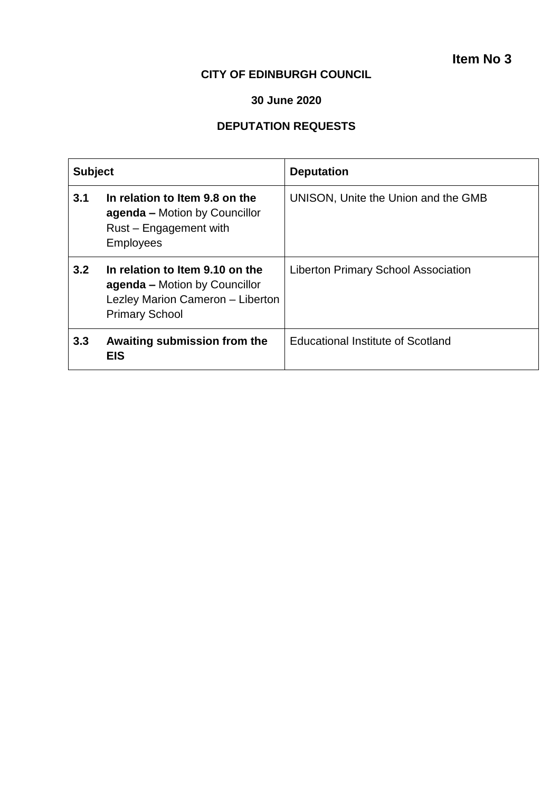## **CITY OF EDINBURGH COUNCIL**

## **30 June 2020**

# **DEPUTATION REQUESTS**

| <b>Subject</b> |                                                                                                                               | <b>Deputation</b>                          |
|----------------|-------------------------------------------------------------------------------------------------------------------------------|--------------------------------------------|
| 3.1            | In relation to Item 9.8 on the<br><b>agenda</b> – Motion by Councillor<br>Rust - Engagement with<br><b>Employees</b>          | UNISON, Unite the Union and the GMB        |
| 3.2            | In relation to Item 9.10 on the<br>agenda - Motion by Councillor<br>Lezley Marion Cameron - Liberton<br><b>Primary School</b> | <b>Liberton Primary School Association</b> |
| 3.3            | Awaiting submission from the<br><b>EIS</b>                                                                                    | <b>Educational Institute of Scotland</b>   |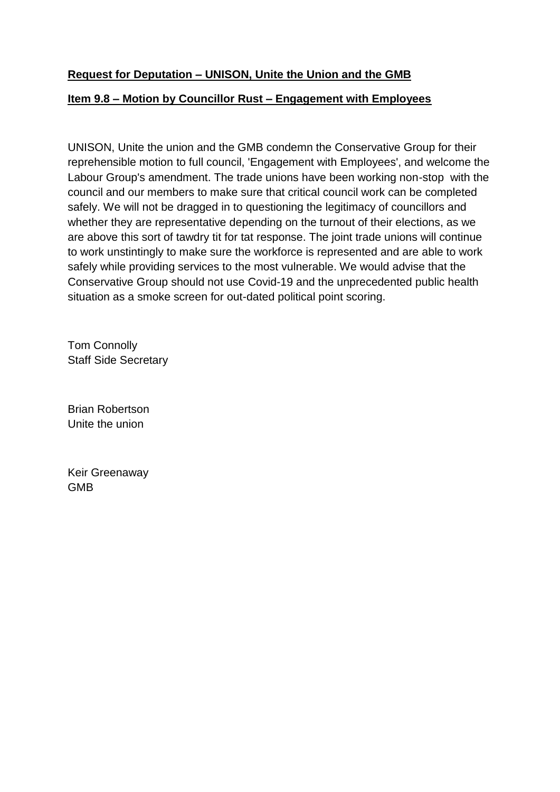## **Request for Deputation – UNISON, Unite the Union and the GMB**

## **Item 9.8 – Motion by Councillor Rust – Engagement with Employees**

UNISON, Unite the union and the GMB condemn the Conservative Group for their reprehensible motion to full council, 'Engagement with Employees', and welcome the Labour Group's amendment. The trade unions have been working non-stop with the council and our members to make sure that critical council work can be completed safely. We will not be dragged in to questioning the legitimacy of councillors and whether they are representative depending on the turnout of their elections, as we are above this sort of tawdry tit for tat response. The joint trade unions will continue to work unstintingly to make sure the workforce is represented and are able to work safely while providing services to the most vulnerable. We would advise that the Conservative Group should not use Covid-19 and the unprecedented public health situation as a smoke screen for out-dated political point scoring.

Tom Connolly Staff Side Secretary

Brian Robertson Unite the union

Keir Greenaway GMB